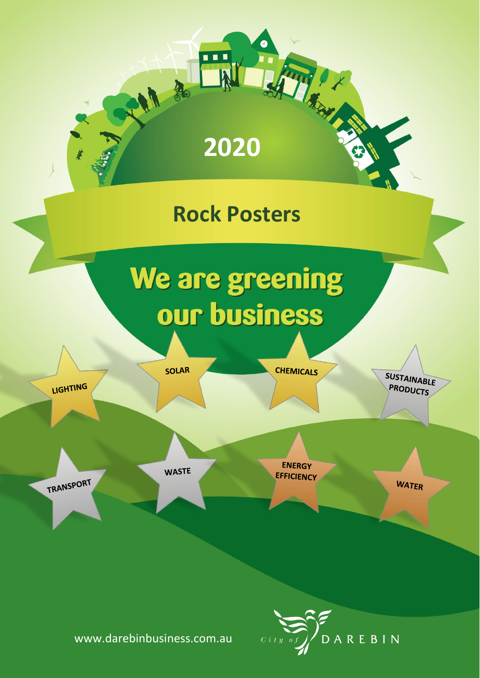



www.darebinbusiness.com.au